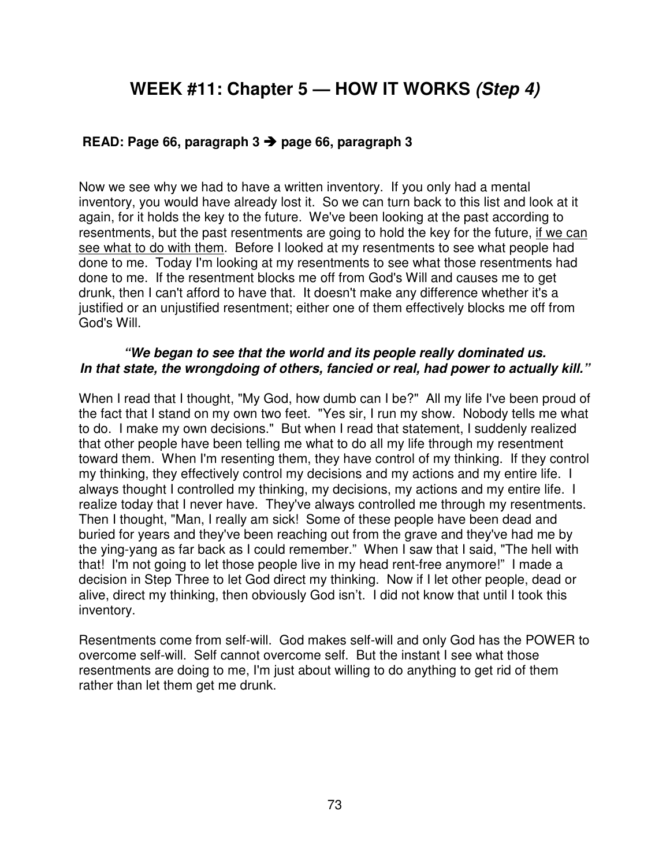# **WEEK #11: Chapter 5 — HOW IT WORKS (Step 4)**

## **READ: Page 66, paragraph 3 page 66, paragraph 3**

Now we see why we had to have a written inventory. If you only had a mental inventory, you would have already lost it. So we can turn back to this list and look at it again, for it holds the key to the future. We've been looking at the past according to resentments, but the past resentments are going to hold the key for the future, if we can see what to do with them. Before I looked at my resentments to see what people had done to me. Today I'm looking at my resentments to see what those resentments had done to me. If the resentment blocks me off from God's Will and causes me to get drunk, then I can't afford to have that. It doesn't make any difference whether it's a justified or an unjustified resentment; either one of them effectively blocks me off from God's Will.

#### **"We began to see that the world and its people really dominated us. In that state, the wrongdoing of others, fancied or real, had power to actually kill."**

When I read that I thought, "My God, how dumb can I be?" All my life I've been proud of the fact that I stand on my own two feet. "Yes sir, I run my show. Nobody tells me what to do. I make my own decisions." But when I read that statement, I suddenly realized that other people have been telling me what to do all my life through my resentment toward them. When I'm resenting them, they have control of my thinking. If they control my thinking, they effectively control my decisions and my actions and my entire life. I always thought I controlled my thinking, my decisions, my actions and my entire life. I realize today that I never have. They've always controlled me through my resentments. Then I thought, "Man, I really am sick! Some of these people have been dead and buried for years and they've been reaching out from the grave and they've had me by the ying-yang as far back as I could remember." When I saw that I said, "The hell with that! I'm not going to let those people live in my head rent-free anymore!" I made a decision in Step Three to let God direct my thinking. Now if I let other people, dead or alive, direct my thinking, then obviously God isn't. I did not know that until I took this inventory.

Resentments come from self-will. God makes self-will and only God has the POWER to overcome self-will. Self cannot overcome self. But the instant I see what those resentments are doing to me, I'm just about willing to do anything to get rid of them rather than let them get me drunk.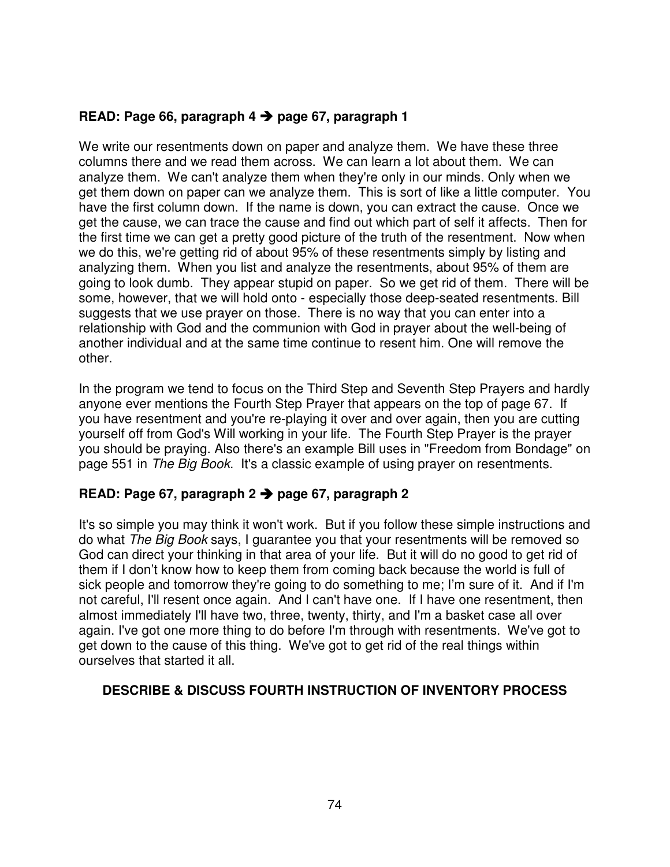## **READ: Page 66, paragraph 4 page 67, paragraph 1**

We write our resentments down on paper and analyze them. We have these three columns there and we read them across. We can learn a lot about them. We can analyze them. We can't analyze them when they're only in our minds. Only when we get them down on paper can we analyze them. This is sort of like a little computer. You have the first column down. If the name is down, you can extract the cause. Once we get the cause, we can trace the cause and find out which part of self it affects. Then for the first time we can get a pretty good picture of the truth of the resentment. Now when we do this, we're getting rid of about 95% of these resentments simply by listing and analyzing them. When you list and analyze the resentments, about 95% of them are going to look dumb. They appear stupid on paper. So we get rid of them. There will be some, however, that we will hold onto - especially those deep-seated resentments. Bill suggests that we use prayer on those. There is no way that you can enter into a relationship with God and the communion with God in prayer about the well-being of another individual and at the same time continue to resent him. One will remove the other.

In the program we tend to focus on the Third Step and Seventh Step Prayers and hardly anyone ever mentions the Fourth Step Prayer that appears on the top of page 67. If you have resentment and you're re-playing it over and over again, then you are cutting yourself off from God's Will working in your life. The Fourth Step Prayer is the prayer you should be praying. Also there's an example Bill uses in "Freedom from Bondage" on page 551 in The Big Book. It's a classic example of using prayer on resentments.

## **READ: Page 67, paragraph 2 page 67, paragraph 2**

It's so simple you may think it won't work. But if you follow these simple instructions and do what The Big Book says, I guarantee you that your resentments will be removed so God can direct your thinking in that area of your life. But it will do no good to get rid of them if I don't know how to keep them from coming back because the world is full of sick people and tomorrow they're going to do something to me; I'm sure of it. And if I'm not careful, I'll resent once again. And I can't have one. If I have one resentment, then almost immediately I'll have two, three, twenty, thirty, and I'm a basket case all over again. I've got one more thing to do before I'm through with resentments. We've got to get down to the cause of this thing. We've got to get rid of the real things within ourselves that started it all.

## **DESCRIBE & DISCUSS FOURTH INSTRUCTION OF INVENTORY PROCESS**